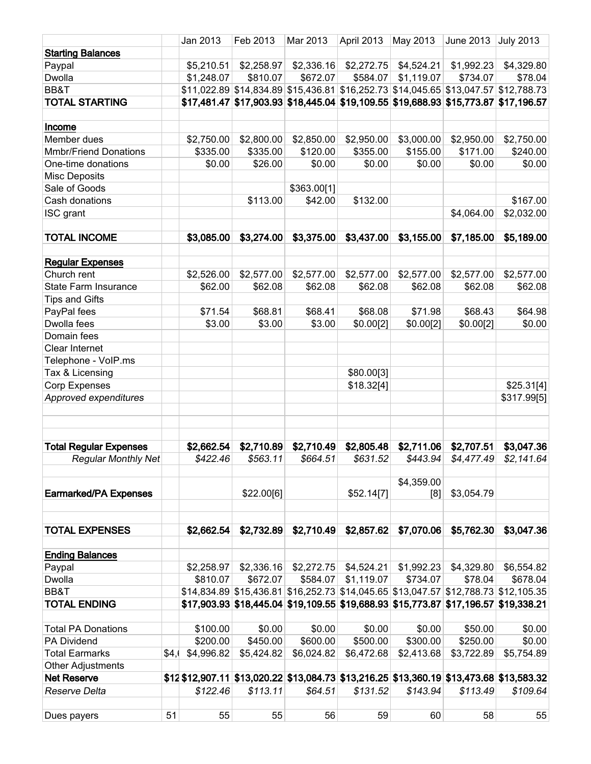|                               |        | Jan 2013   | Feb 2013   | Mar 2013    | April 2013 | May 2013                                                                            | June 2013  | <b>July 2013</b> |
|-------------------------------|--------|------------|------------|-------------|------------|-------------------------------------------------------------------------------------|------------|------------------|
| <b>Starting Balances</b>      |        |            |            |             |            |                                                                                     |            |                  |
| Paypal                        |        | \$5,210.51 | \$2,258.97 | \$2,336.16  | \$2,272.75 | \$4,524.21                                                                          | \$1,992.23 | \$4,329.80       |
| Dwolla                        |        | \$1,248.07 | \$810.07   | \$672.07    | \$584.07   | \$1,119.07                                                                          | \$734.07   | \$78.04          |
| BB&T                          |        |            |            |             |            | \$11,022.89 \$14,834.89 \$15,436.81 \$16,252.73 \$14,045.65 \$13,047.57 \$12,788.73 |            |                  |
| <b>TOTAL STARTING</b>         |        |            |            |             |            | \$17,481.47 \$17,903.93 \$18,445.04 \$19,109.55 \$19,688.93 \$15,773.87 \$17,196.57 |            |                  |
|                               |        |            |            |             |            |                                                                                     |            |                  |
| Income                        |        |            |            |             |            |                                                                                     |            |                  |
| Member dues                   |        | \$2,750.00 | \$2,800.00 | \$2,850.00  | \$2,950.00 | \$3,000.00                                                                          | \$2,950.00 | \$2,750.00       |
| <b>Mmbr/Friend Donations</b>  |        | \$335.00   | \$335.00   | \$120.00    | \$355.00   | \$155.00                                                                            | \$171.00   | \$240.00         |
| One-time donations            |        | \$0.00     | \$26.00    | \$0.00      | \$0.00     | \$0.00                                                                              | \$0.00     | \$0.00           |
| <b>Misc Deposits</b>          |        |            |            |             |            |                                                                                     |            |                  |
| Sale of Goods                 |        |            |            | \$363.00[1] |            |                                                                                     |            |                  |
| Cash donations                |        |            | \$113.00   | \$42.00     | \$132.00   |                                                                                     |            | \$167.00         |
| ISC grant                     |        |            |            |             |            |                                                                                     | \$4,064.00 | \$2,032.00       |
|                               |        |            |            |             |            |                                                                                     |            |                  |
| <b>TOTAL INCOME</b>           |        | \$3,085.00 | \$3,274.00 | \$3,375.00  | \$3,437.00 | \$3,155.00                                                                          | \$7,185.00 | \$5,189.00       |
|                               |        |            |            |             |            |                                                                                     |            |                  |
| <b>Regular Expenses</b>       |        |            |            |             |            |                                                                                     |            |                  |
| Church rent                   |        | \$2,526.00 | \$2,577.00 | \$2,577.00  | \$2,577.00 | \$2,577.00                                                                          | \$2,577.00 | \$2,577.00       |
| State Farm Insurance          |        | \$62.00    | \$62.08    | \$62.08     | \$62.08    | \$62.08                                                                             | \$62.08    | \$62.08          |
| <b>Tips and Gifts</b>         |        |            |            |             |            |                                                                                     |            |                  |
| PayPal fees                   |        | \$71.54    | \$68.81    | \$68.41     | \$68.08    | \$71.98                                                                             | \$68.43    | \$64.98          |
| Dwolla fees                   |        | \$3.00     | \$3.00     | \$3.00      | \$0.00[2]  | \$0.00[2]                                                                           | \$0.00[2]  | \$0.00           |
| Domain fees                   |        |            |            |             |            |                                                                                     |            |                  |
| Clear Internet                |        |            |            |             |            |                                                                                     |            |                  |
| Telephone - VoIP.ms           |        |            |            |             |            |                                                                                     |            |                  |
| Tax & Licensing               |        |            |            |             | \$80.00[3] |                                                                                     |            |                  |
| <b>Corp Expenses</b>          |        |            |            |             | \$18.32[4] |                                                                                     |            | \$25.31[4]       |
| Approved expenditures         |        |            |            |             |            |                                                                                     |            | \$317.99[5]      |
|                               |        |            |            |             |            |                                                                                     |            |                  |
|                               |        |            |            |             |            |                                                                                     |            |                  |
|                               |        |            |            |             |            |                                                                                     |            |                  |
| <b>Total Regular Expenses</b> |        | \$2,662.54 | \$2,710.89 | \$2,710.49  | \$2,805.48 | \$2,711.06                                                                          | \$2,707.51 | \$3,047.36       |
| <b>Regular Monthly Net</b>    |        | \$422.46   | \$563.11   | \$664.51    | \$631.52   | \$443.94                                                                            | \$4,477.49 | \$2,141.64       |
|                               |        |            |            |             |            |                                                                                     |            |                  |
|                               |        |            |            |             |            | \$4,359.00                                                                          |            |                  |
| <b>Earmarked/PA Expenses</b>  |        |            | \$22.00[6] |             | \$52.14[7] | [8]                                                                                 | \$3,054.79 |                  |
|                               |        |            |            |             |            |                                                                                     |            |                  |
|                               |        |            |            |             |            |                                                                                     |            |                  |
| <b>TOTAL EXPENSES</b>         |        | \$2,662.54 | \$2,732.89 | \$2,710.49  | \$2,857.62 | \$7,070.06                                                                          | \$5,762.30 | \$3,047.36       |
|                               |        |            |            |             |            |                                                                                     |            |                  |
| <b>Ending Balances</b>        |        |            |            |             |            |                                                                                     |            |                  |
| Paypal                        |        | \$2,258.97 |            |             |            | $$2,336.16$ $$2,272.75$ $$4,524.21$ $$1,992.23$                                     | \$4,329.80 | \$6,554.82       |
| Dwolla                        |        | \$810.07   | \$672.07   | \$584.07    | \$1,119.07 | \$734.07                                                                            | \$78.04    | \$678.04         |
| BB&T                          |        |            |            |             |            | \$14,834.89 \$15,436.81 \$16,252.73 \$14,045.65 \$13,047.57 \$12,788.73 \$12,105.35 |            |                  |
| <b>TOTAL ENDING</b>           |        |            |            |             |            | \$17,903.93 \$18,445.04 \$19,109.55 \$19,688.93 \$15,773.87 \$17,196.57 \$19,338.21 |            |                  |
|                               |        |            |            |             |            |                                                                                     |            |                  |
| <b>Total PA Donations</b>     |        | \$100.00   | \$0.00     | \$0.00      | \$0.00     | \$0.00                                                                              | \$50.00    | \$0.00           |
| PA Dividend                   |        | \$200.00   | \$450.00   | \$600.00    | \$500.00   | \$300.00                                                                            | \$250.00   | \$0.00           |
| <b>Total Earmarks</b>         | \$4, ( | \$4,996.82 | \$5,424.82 | \$6,024.82  | \$6,472.68 | \$2,413.68                                                                          | \$3,722.89 | \$5,754.89       |
| <b>Other Adjustments</b>      |        |            |            |             |            |                                                                                     |            |                  |
| <b>Net Reserve</b>            |        |            |            |             |            | \$12,907.11 \$13,020.22 \$13,084.73 \$13,216.25 \$13,360.19 \$13,473.68 \$13,583.32 |            |                  |
| Reserve Delta                 |        | \$122.46   | \$113.11   | \$64.51     | \$131.52   | \$143.94                                                                            | \$113.49   | \$109.64         |
|                               |        |            |            |             |            |                                                                                     |            |                  |
| Dues payers                   | 51     | 55         | 55         | 56          | 59         | 60                                                                                  | 58         | 55               |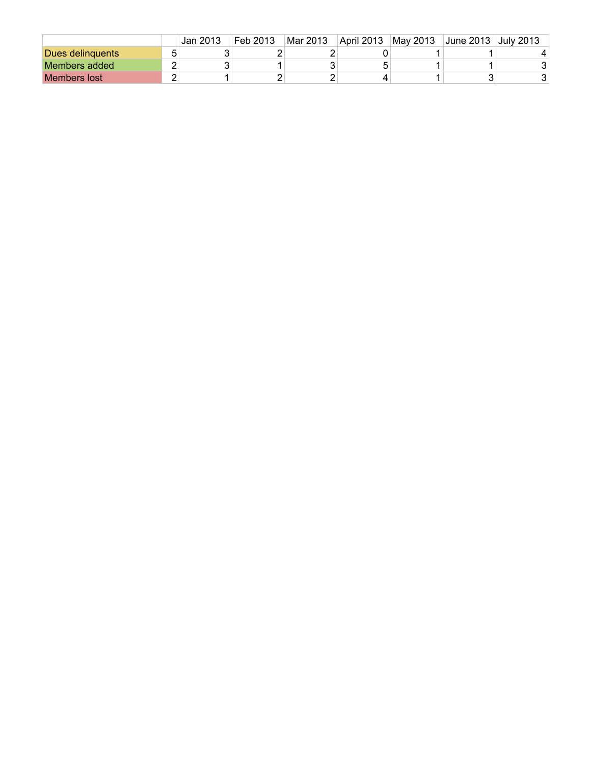|                     |   | Jan 2013 | Feb 2013 | Mar 2013 | April 2013 | May 2013 | June 2013 July 2013 |   |
|---------------------|---|----------|----------|----------|------------|----------|---------------------|---|
| Dues delinguents    | ∽ |          |          |          |            |          |                     |   |
| Members added       |   |          |          |          |            |          |                     |   |
| <b>Members lost</b> |   |          |          |          |            |          | ີ                   | ⌒ |